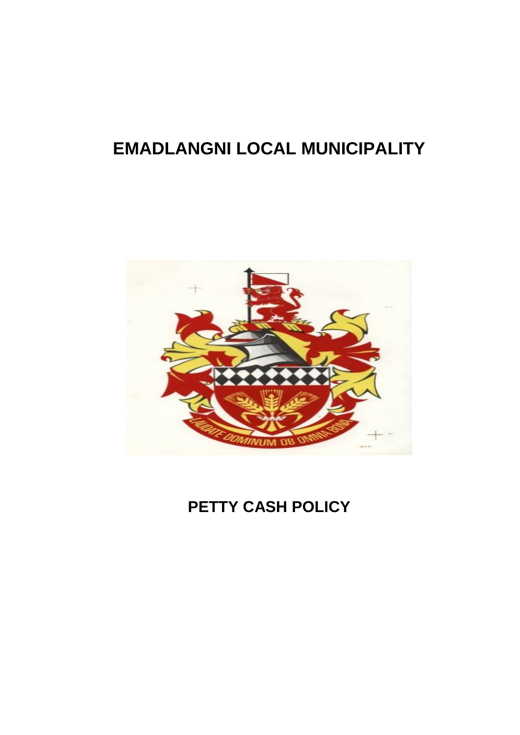# **EMADLANGNI LOCAL MUNICIPALITY**



## **PETTY CASH POLICY**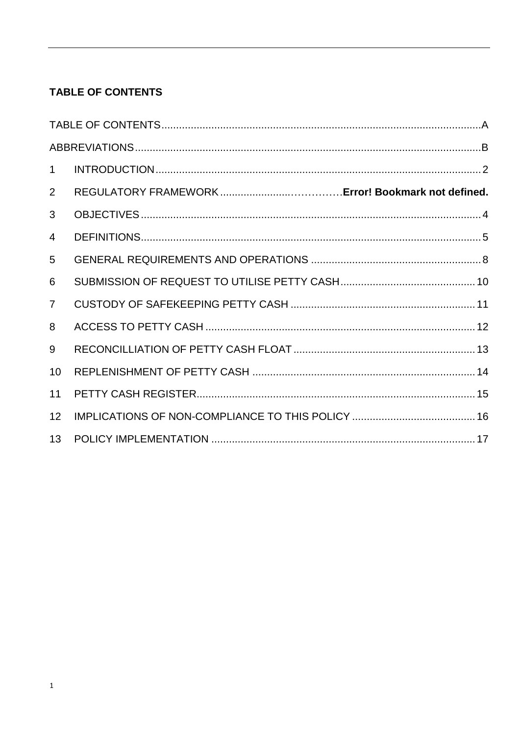### <span id="page-1-0"></span>**TABLE OF CONTENTS**

| $\mathbf 1$    |  |
|----------------|--|
| $\overline{2}$ |  |
| 3              |  |
| $\overline{4}$ |  |
| 5              |  |
| 6              |  |
| $\overline{7}$ |  |
| 8              |  |
| 9              |  |
| 10             |  |
| 11             |  |
| 12             |  |
| 13             |  |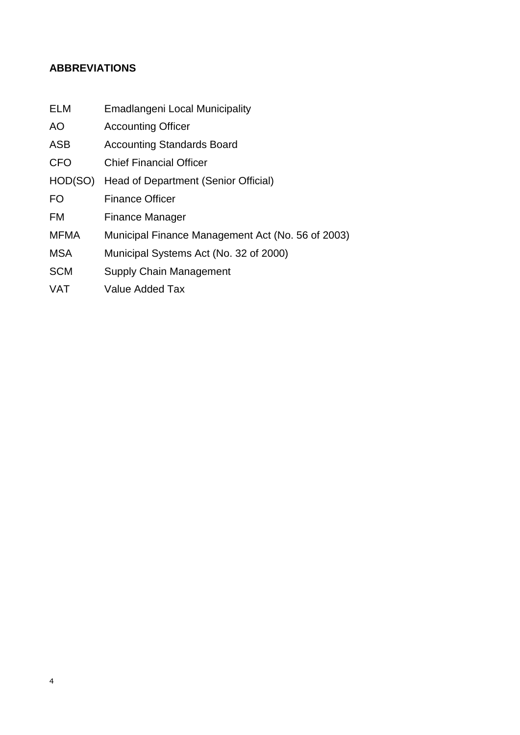#### <span id="page-2-0"></span>**ABBREVIATIONS**

- ELM Emadlangeni Local Municipality
- AO Accounting Officer
- ASB Accounting Standards Board
- CFO Chief Financial Officer
- HOD(SO) Head of Department (Senior Official)
- FO Finance Officer
- FM Finance Manager
- MFMA Municipal Finance Management Act (No. 56 of 2003)
- MSA Municipal Systems Act (No. 32 of 2000)
- SCM Supply Chain Management
- VAT Value Added Tax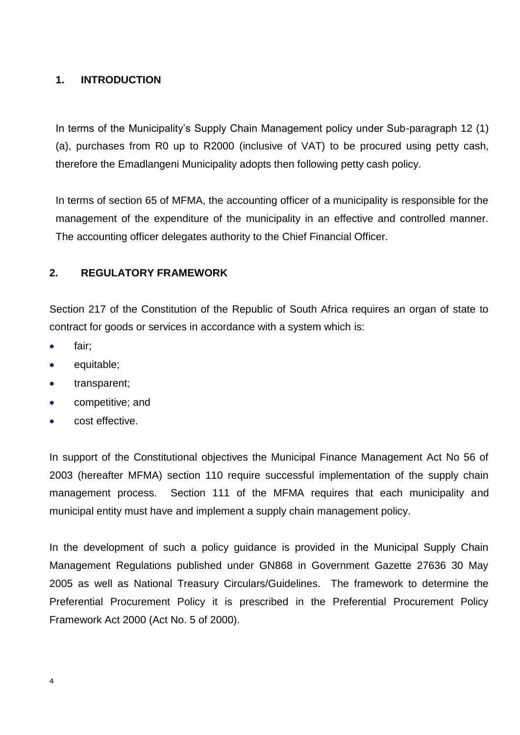#### <span id="page-3-0"></span>**1. INTRODUCTION**

In terms of the Municipality's Supply Chain Management policy under Sub-paragraph 12 (1) (a), purchases from R0 up to R2000 (inclusive of VAT) to be procured using petty cash, therefore the Emadlangeni Municipality adopts then following petty cash policy.

In terms of section 65 of MFMA, the accounting officer of a municipality is responsible for the management of the expenditure of the municipality in an effective and controlled manner. The accounting officer delegates authority to the Chief Financial Officer.

#### **2. REGULATORY FRAMEWORK**

Section 217 of the Constitution of the Republic of South Africa requires an organ of state to contract for goods or services in accordance with a system which is:

- fair;
- equitable;
- transparent;
- competitive; and
- cost effective.

In support of the Constitutional objectives the Municipal Finance Management Act No 56 of 2003 (hereafter MFMA) section 110 require successful implementation of the supply chain management process. Section 111 of the MFMA requires that each municipality and municipal entity must have and implement a supply chain management policy.

In the development of such a policy guidance is provided in the Municipal Supply Chain Management Regulations published under GN868 in Government Gazette 27636 30 May 2005 as well as National Treasury Circulars/Guidelines. The framework to determine the Preferential Procurement Policy it is prescribed in the Preferential Procurement Policy Framework Act 2000 (Act No. 5 of 2000).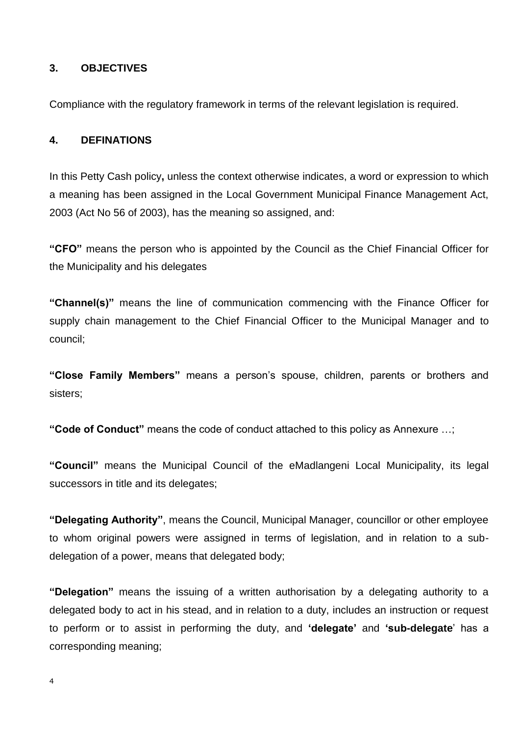#### **3. OBJECTIVES**

Compliance with the regulatory framework in terms of the relevant legislation is required.

#### **4. DEFINATIONS**

In this Petty Cash policy**,** unless the context otherwise indicates, a word or expression to which a meaning has been assigned in the Local Government Municipal Finance Management Act, 2003 (Act No 56 of 2003), has the meaning so assigned, and:

**"CFO"** means the person who is appointed by the Council as the Chief Financial Officer for the Municipality and his delegates

**"Channel(s)"** means the line of communication commencing with the Finance Officer for supply chain management to the Chief Financial Officer to the Municipal Manager and to council;

**"Close Family Members"** means a person's spouse, children, parents or brothers and sisters;

**"Code of Conduct"** means the code of conduct attached to this policy as Annexure …;

**"Council"** means the Municipal Council of the eMadlangeni Local Municipality, its legal successors in title and its delegates;

**"Delegating Authority"**, means the Council, Municipal Manager, councillor or other employee to whom original powers were assigned in terms of legislation, and in relation to a subdelegation of a power, means that delegated body;

**"Delegation"** means the issuing of a written authorisation by a delegating authority to a delegated body to act in his stead, and in relation to a duty, includes an instruction or request to perform or to assist in performing the duty, and **'delegate'** and **'sub-delegate**' has a corresponding meaning;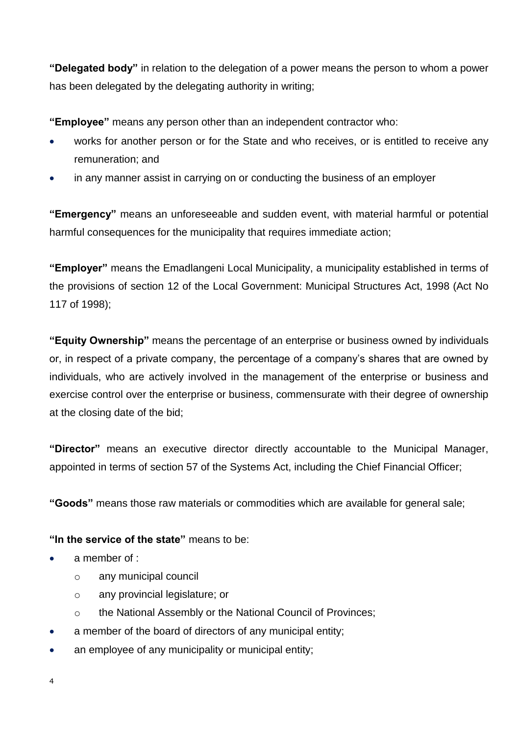**"Delegated body"** in relation to the delegation of a power means the person to whom a power has been delegated by the delegating authority in writing;

**"Employee"** means any person other than an independent contractor who:

- works for another person or for the State and who receives, or is entitled to receive any remuneration; and
- in any manner assist in carrying on or conducting the business of an employer

**"Emergency"** means an unforeseeable and sudden event, with material harmful or potential harmful consequences for the municipality that requires immediate action;

**"Employer"** means the Emadlangeni Local Municipality, a municipality established in terms of the provisions of section 12 of the Local Government: Municipal Structures Act, 1998 (Act No 117 of 1998);

**"Equity Ownership"** means the percentage of an enterprise or business owned by individuals or, in respect of a private company, the percentage of a company's shares that are owned by individuals, who are actively involved in the management of the enterprise or business and exercise control over the enterprise or business, commensurate with their degree of ownership at the closing date of the bid;

**"Director"** means an executive director directly accountable to the Municipal Manager, appointed in terms of section 57 of the Systems Act, including the Chief Financial Officer;

**"Goods"** means those raw materials or commodities which are available for general sale;

#### **"In the service of the state"** means to be:

- a member of :
	- o any municipal council
	- o any provincial legislature; or
	- o the National Assembly or the National Council of Provinces;
- a member of the board of directors of any municipal entity;
- an employee of any municipality or municipal entity;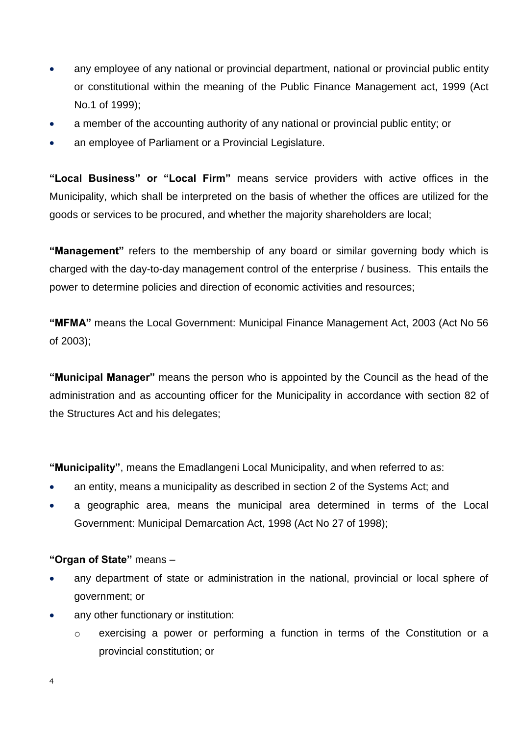- any employee of any national or provincial department, national or provincial public entity or constitutional within the meaning of the Public Finance Management act, 1999 (Act No.1 of 1999);
- a member of the accounting authority of any national or provincial public entity; or
- an employee of Parliament or a Provincial Legislature.

**"Local Business" or "Local Firm"** means service providers with active offices in the Municipality, which shall be interpreted on the basis of whether the offices are utilized for the goods or services to be procured, and whether the majority shareholders are local;

**"Management"** refers to the membership of any board or similar governing body which is charged with the day-to-day management control of the enterprise / business. This entails the power to determine policies and direction of economic activities and resources;

**"MFMA"** means the Local Government: Municipal Finance Management Act, 2003 (Act No 56 of 2003);

**"Municipal Manager"** means the person who is appointed by the Council as the head of the administration and as accounting officer for the Municipality in accordance with section 82 of the Structures Act and his delegates;

**"Municipality"**, means the Emadlangeni Local Municipality, and when referred to as:

- an entity, means a municipality as described in section 2 of the Systems Act; and
- a geographic area, means the municipal area determined in terms of the Local Government: Municipal Demarcation Act, 1998 (Act No 27 of 1998);

#### **"Organ of State"** means –

- any department of state or administration in the national, provincial or local sphere of government; or
- any other functionary or institution:
	- o exercising a power or performing a function in terms of the Constitution or a provincial constitution; or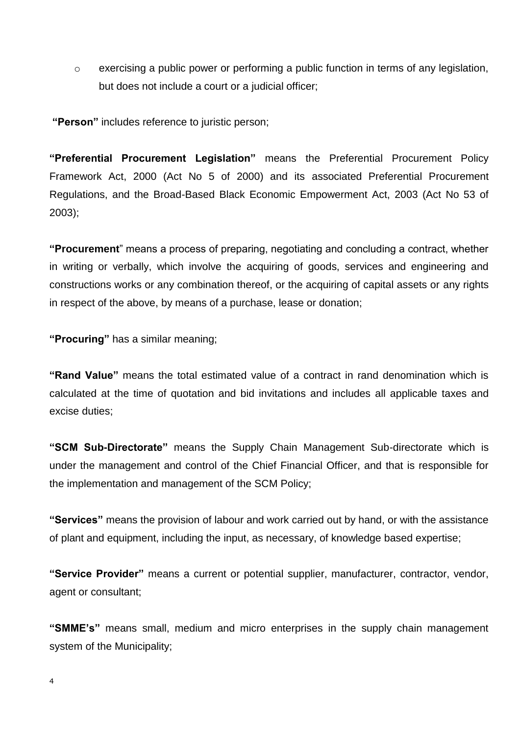o exercising a public power or performing a public function in terms of any legislation, but does not include a court or a judicial officer;

**"Person"** includes reference to juristic person;

**"Preferential Procurement Legislation"** means the Preferential Procurement Policy Framework Act, 2000 (Act No 5 of 2000) and its associated Preferential Procurement Regulations, and the Broad-Based Black Economic Empowerment Act, 2003 (Act No 53 of 2003);

**"Procurement**" means a process of preparing, negotiating and concluding a contract, whether in writing or verbally, which involve the acquiring of goods, services and engineering and constructions works or any combination thereof, or the acquiring of capital assets or any rights in respect of the above, by means of a purchase, lease or donation;

**"Procuring"** has a similar meaning;

**"Rand Value"** means the total estimated value of a contract in rand denomination which is calculated at the time of quotation and bid invitations and includes all applicable taxes and excise duties;

**"SCM Sub-Directorate"** means the Supply Chain Management Sub-directorate which is under the management and control of the Chief Financial Officer, and that is responsible for the implementation and management of the SCM Policy;

**"Services"** means the provision of labour and work carried out by hand, or with the assistance of plant and equipment, including the input, as necessary, of knowledge based expertise;

**"Service Provider"** means a current or potential supplier, manufacturer, contractor, vendor, agent or consultant;

**"SMME's"** means small, medium and micro enterprises in the supply chain management system of the Municipality;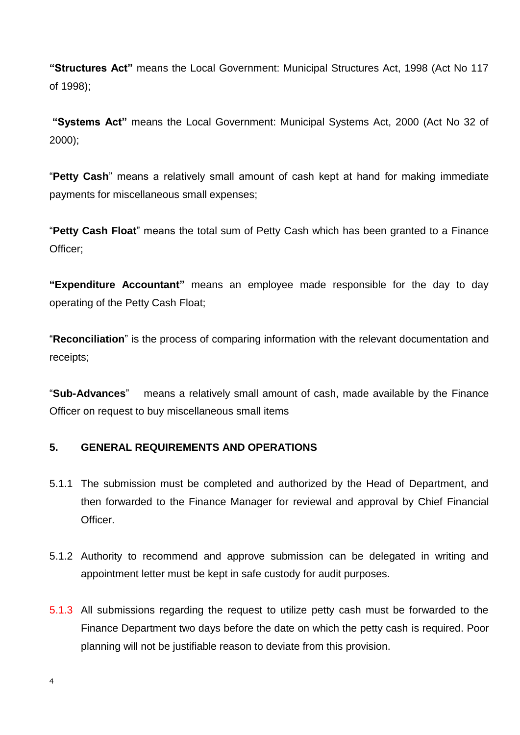**"Structures Act"** means the Local Government: Municipal Structures Act, 1998 (Act No 117 of 1998);

**"Systems Act"** means the Local Government: Municipal Systems Act, 2000 (Act No 32 of 2000);

"**Petty Cash**" means a relatively small amount of cash kept at hand for making immediate payments for miscellaneous small expenses;

"**Petty Cash Float**" means the total sum of Petty Cash which has been granted to a Finance Officer;

**"Expenditure Accountant"** means an employee made responsible for the day to day operating of the Petty Cash Float;

"**Reconciliation**" is the process of comparing information with the relevant documentation and receipts;

"**Sub-Advances**" means a relatively small amount of cash, made available by the Finance Officer on request to buy miscellaneous small items

#### **5. GENERAL REQUIREMENTS AND OPERATIONS**

- 5.1.1 The submission must be completed and authorized by the Head of Department, and then forwarded to the Finance Manager for reviewal and approval by Chief Financial Officer.
- 5.1.2 Authority to recommend and approve submission can be delegated in writing and appointment letter must be kept in safe custody for audit purposes.
- 5.1.3 All submissions regarding the request to utilize petty cash must be forwarded to the Finance Department two days before the date on which the petty cash is required. Poor planning will not be justifiable reason to deviate from this provision.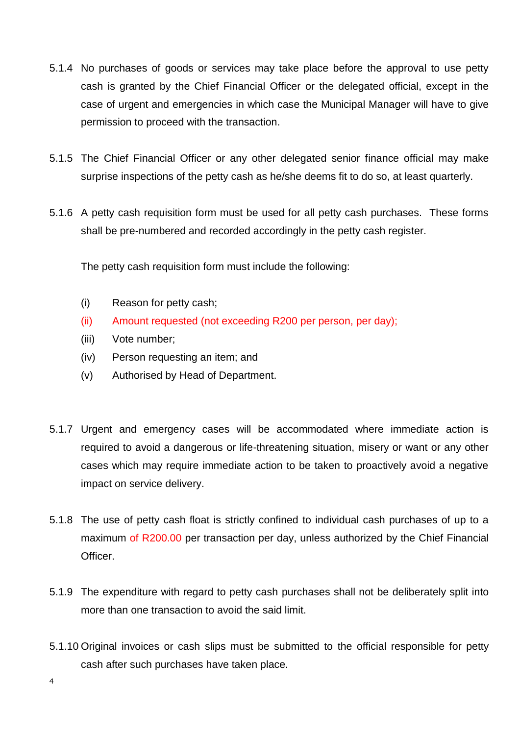- 5.1.4 No purchases of goods or services may take place before the approval to use petty cash is granted by the Chief Financial Officer or the delegated official, except in the case of urgent and emergencies in which case the Municipal Manager will have to give permission to proceed with the transaction.
- 5.1.5 The Chief Financial Officer or any other delegated senior finance official may make surprise inspections of the petty cash as he/she deems fit to do so, at least quarterly.
- 5.1.6 A petty cash requisition form must be used for all petty cash purchases. These forms shall be pre-numbered and recorded accordingly in the petty cash register.

The petty cash requisition form must include the following:

- (i) Reason for petty cash;
- (ii) Amount requested (not exceeding R200 per person, per day);
- (iii) Vote number;
- (iv) Person requesting an item; and
- (v) Authorised by Head of Department.
- 5.1.7 Urgent and emergency cases will be accommodated where immediate action is required to avoid a dangerous or life-threatening situation, misery or want or any other cases which may require immediate action to be taken to proactively avoid a negative impact on service delivery.
- 5.1.8 The use of petty cash float is strictly confined to individual cash purchases of up to a maximum of R200.00 per transaction per day, unless authorized by the Chief Financial Officer.
- 5.1.9 The expenditure with regard to petty cash purchases shall not be deliberately split into more than one transaction to avoid the said limit.
- 5.1.10 Original invoices or cash slips must be submitted to the official responsible for petty cash after such purchases have taken place.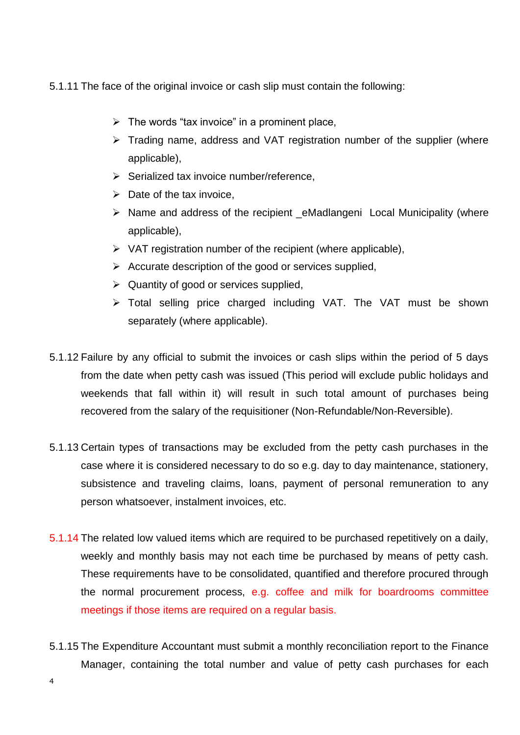5.1.11 The face of the original invoice or cash slip must contain the following:

- $\triangleright$  The words "tax invoice" in a prominent place,
- $\triangleright$  Trading name, address and VAT registration number of the supplier (where applicable),
- $\triangleright$  Serialized tax invoice number/reference.
- $\triangleright$  Date of the tax invoice.
- $\triangleright$  Name and address of the recipient eMadlangeni Local Municipality (where applicable),
- $\triangleright$  VAT registration number of the recipient (where applicable),
- $\triangleright$  Accurate description of the good or services supplied,
- $\triangleright$  Quantity of good or services supplied,
- Total selling price charged including VAT. The VAT must be shown separately (where applicable).
- 5.1.12 Failure by any official to submit the invoices or cash slips within the period of 5 days from the date when petty cash was issued (This period will exclude public holidays and weekends that fall within it) will result in such total amount of purchases being recovered from the salary of the requisitioner (Non-Refundable/Non-Reversible).
- 5.1.13 Certain types of transactions may be excluded from the petty cash purchases in the case where it is considered necessary to do so e.g. day to day maintenance, stationery, subsistence and traveling claims, loans, payment of personal remuneration to any person whatsoever, instalment invoices, etc.
- 5.1.14 The related low valued items which are required to be purchased repetitively on a daily, weekly and monthly basis may not each time be purchased by means of petty cash. These requirements have to be consolidated, quantified and therefore procured through the normal procurement process, e.g. coffee and milk for boardrooms committee meetings if those items are required on a regular basis.
- 5.1.15 The Expenditure Accountant must submit a monthly reconciliation report to the Finance Manager, containing the total number and value of petty cash purchases for each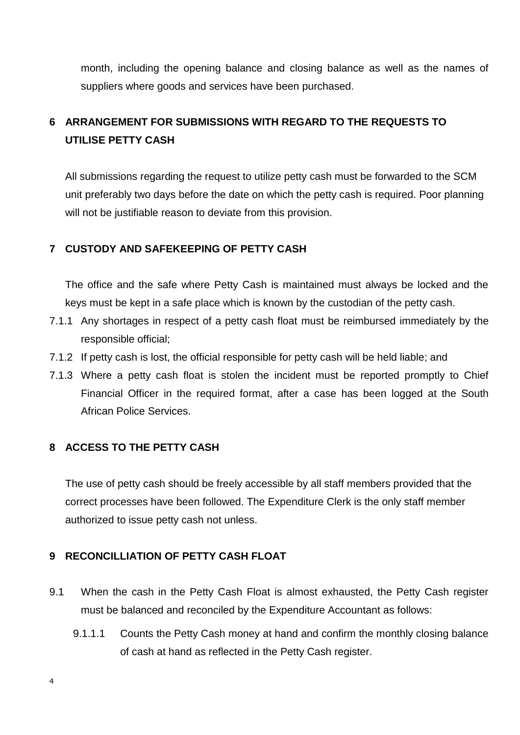month, including the opening balance and closing balance as well as the names of suppliers where goods and services have been purchased.

## **6 ARRANGEMENT FOR SUBMISSIONS WITH REGARD TO THE REQUESTS TO UTILISE PETTY CASH**

All submissions regarding the request to utilize petty cash must be forwarded to the SCM unit preferably two days before the date on which the petty cash is required. Poor planning will not be justifiable reason to deviate from this provision.

#### **7 CUSTODY AND SAFEKEEPING OF PETTY CASH**

The office and the safe where Petty Cash is maintained must always be locked and the keys must be kept in a safe place which is known by the custodian of the petty cash.

- 7.1.1 Any shortages in respect of a petty cash float must be reimbursed immediately by the responsible official;
- 7.1.2 If petty cash is lost, the official responsible for petty cash will be held liable; and
- 7.1.3 Where a petty cash float is stolen the incident must be reported promptly to Chief Financial Officer in the required format, after a case has been logged at the South African Police Services.

#### **8 ACCESS TO THE PETTY CASH**

The use of petty cash should be freely accessible by all staff members provided that the correct processes have been followed. The Expenditure Clerk is the only staff member authorized to issue petty cash not unless.

#### **9 RECONCILLIATION OF PETTY CASH FLOAT**

- 9.1 When the cash in the Petty Cash Float is almost exhausted, the Petty Cash register must be balanced and reconciled by the Expenditure Accountant as follows:
	- 9.1.1.1 Counts the Petty Cash money at hand and confirm the monthly closing balance of cash at hand as reflected in the Petty Cash register.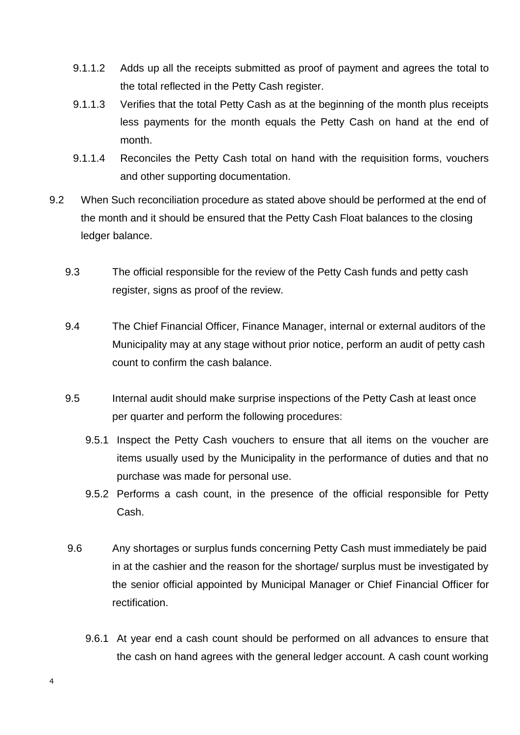- 9.1.1.2 Adds up all the receipts submitted as proof of payment and agrees the total to the total reflected in the Petty Cash register.
- 9.1.1.3 Verifies that the total Petty Cash as at the beginning of the month plus receipts less payments for the month equals the Petty Cash on hand at the end of month.
- 9.1.1.4 Reconciles the Petty Cash total on hand with the requisition forms, vouchers and other supporting documentation.
- 9.2 When Such reconciliation procedure as stated above should be performed at the end of the month and it should be ensured that the Petty Cash Float balances to the closing ledger balance.
	- 9.3 The official responsible for the review of the Petty Cash funds and petty cash register, signs as proof of the review.
	- 9.4 The Chief Financial Officer, Finance Manager, internal or external auditors of the Municipality may at any stage without prior notice, perform an audit of petty cash count to confirm the cash balance.
	- 9.5 Internal audit should make surprise inspections of the Petty Cash at least once per quarter and perform the following procedures:
		- 9.5.1 Inspect the Petty Cash vouchers to ensure that all items on the voucher are items usually used by the Municipality in the performance of duties and that no purchase was made for personal use.
		- 9.5.2 Performs a cash count, in the presence of the official responsible for Petty Cash.
	- 9.6 Any shortages or surplus funds concerning Petty Cash must immediately be paid in at the cashier and the reason for the shortage/ surplus must be investigated by the senior official appointed by Municipal Manager or Chief Financial Officer for rectification.
		- 9.6.1 At year end a cash count should be performed on all advances to ensure that the cash on hand agrees with the general ledger account. A cash count working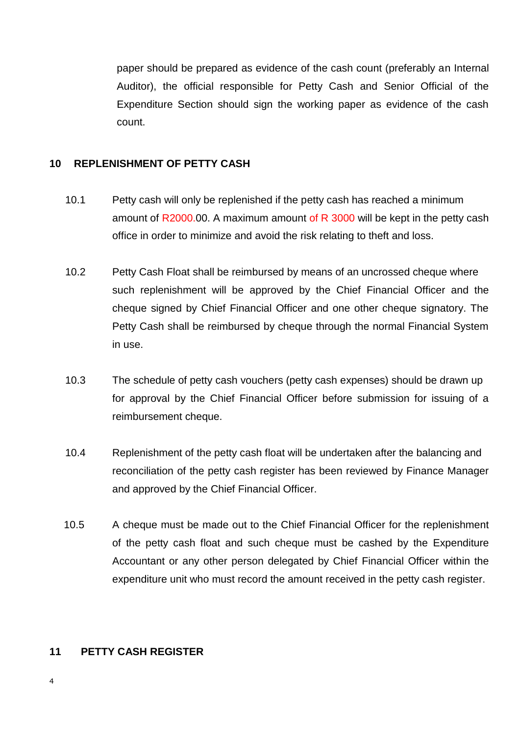paper should be prepared as evidence of the cash count (preferably an Internal Auditor), the official responsible for Petty Cash and Senior Official of the Expenditure Section should sign the working paper as evidence of the cash count.

#### **10 REPLENISHMENT OF PETTY CASH**

- 10.1 Petty cash will only be replenished if the petty cash has reached a minimum amount of R2000.00. A maximum amount of R 3000 will be kept in the petty cash office in order to minimize and avoid the risk relating to theft and loss.
- 10.2 Petty Cash Float shall be reimbursed by means of an uncrossed cheque where such replenishment will be approved by the Chief Financial Officer and the cheque signed by Chief Financial Officer and one other cheque signatory. The Petty Cash shall be reimbursed by cheque through the normal Financial System in use.
- 10.3 The schedule of petty cash vouchers (petty cash expenses) should be drawn up for approval by the Chief Financial Officer before submission for issuing of a reimbursement cheque.
- 10.4 Replenishment of the petty cash float will be undertaken after the balancing and reconciliation of the petty cash register has been reviewed by Finance Manager and approved by the Chief Financial Officer.
- 10.5 A cheque must be made out to the Chief Financial Officer for the replenishment of the petty cash float and such cheque must be cashed by the Expenditure Accountant or any other person delegated by Chief Financial Officer within the expenditure unit who must record the amount received in the petty cash register.

#### **11 PETTY CASH REGISTER**